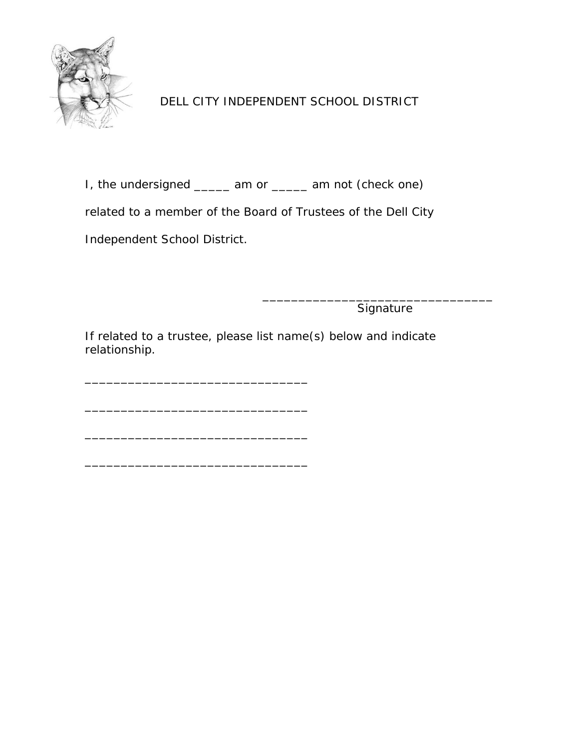

I, the undersigned \_\_\_\_\_ am or \_\_\_\_\_ am not (check one)

related to a member of the Board of Trustees of the Dell City

Independent School District.

\_\_\_\_\_\_\_\_\_\_\_\_\_\_\_\_\_\_\_\_\_\_\_\_\_\_\_\_\_\_\_

\_\_\_\_\_\_\_\_\_\_\_\_\_\_\_\_\_\_\_\_\_\_\_\_\_\_\_\_\_\_\_

\_\_\_\_\_\_\_\_\_\_\_\_\_\_\_\_\_\_\_\_\_\_\_\_\_\_\_\_\_\_\_

\_\_\_\_\_\_\_\_\_\_\_\_\_\_\_\_\_\_\_\_\_\_\_\_\_\_\_\_\_\_\_\_ **Signature** 

If related to a trustee, please list name(s) below and indicate relationship.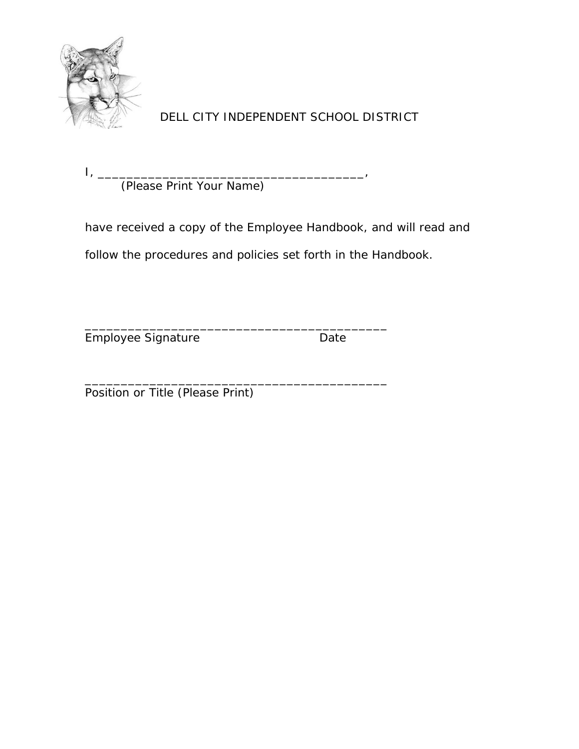

I, \_\_\_\_\_\_\_\_\_\_\_\_\_\_\_\_\_\_\_\_\_\_\_\_\_\_\_\_\_\_\_\_\_\_\_\_\_, (Please Print Your Name)

have received a copy of the Employee Handbook, and will read and follow the procedures and policies set forth in the Handbook.

\_\_\_\_\_\_\_\_\_\_\_\_\_\_\_\_\_\_\_\_\_\_\_\_\_\_\_\_\_\_\_\_\_\_\_\_\_\_\_\_\_\_

Employee Signature **Date** Date

\_\_\_\_\_\_\_\_\_\_\_\_\_\_\_\_\_\_\_\_\_\_\_\_\_\_\_\_\_\_\_\_\_\_\_\_\_\_\_\_\_\_

**Position or Title (Please Print)**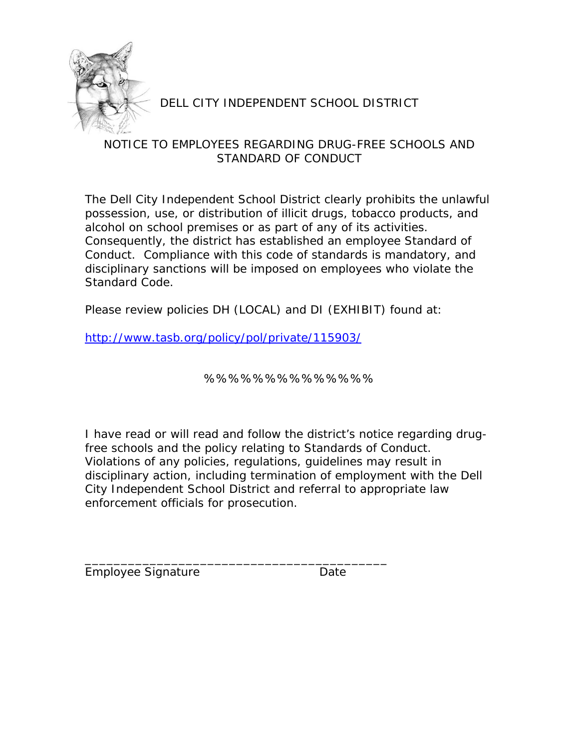

#### NOTICE TO EMPLOYEES REGARDING DRUG-FREE SCHOOLS AND STANDARD OF CONDUCT

The Dell City Independent School District clearly prohibits the unlawful possession, use, or distribution of illicit drugs, tobacco products, and alcohol on school premises or as part of any of its activities. Consequently, the district has established an employee Standard of Conduct. Compliance with this code of standards is mandatory, and disciplinary sanctions will be imposed on employees who violate the Standard Code.

Please review policies DH (LOCAL) and DI (EXHIBIT) found at:

http://www.tasb.org/policy/pol/private/115903/

\_\_\_\_\_\_\_\_\_\_\_\_\_\_\_\_\_\_\_\_\_\_\_\_\_\_\_\_\_\_\_\_\_\_\_\_\_\_\_\_\_\_

%%%%%%%%%%%%%%

I have read or will read and follow the district's notice regarding drugfree schools and the policy relating to Standards of Conduct. Violations of any policies, regulations, guidelines may result in disciplinary action, including termination of employment with the Dell City Independent School District and referral to appropriate law enforcement officials for prosecution.

Employee Signature **Date** Date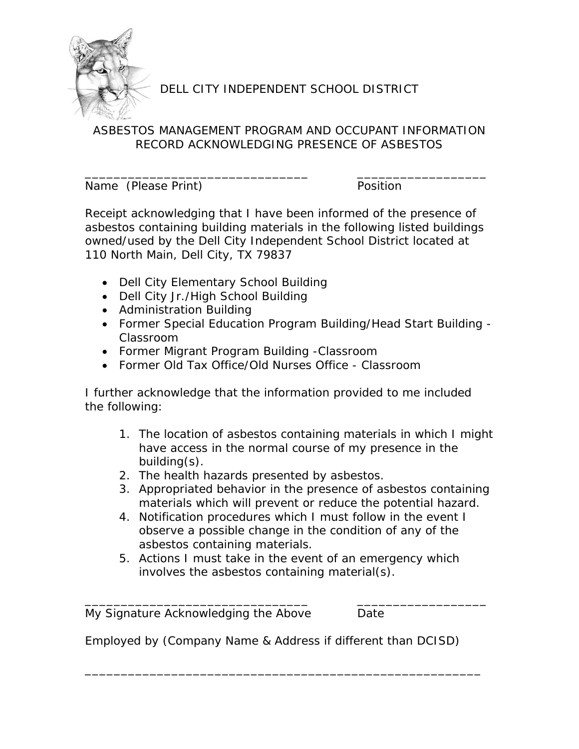

## ASBESTOS MANAGEMENT PROGRAM AND OCCUPANT INFORMATION RECORD ACKNOWLEDGING PRESENCE OF ASBESTOS

\_\_\_\_\_\_\_\_\_\_\_\_\_\_\_\_\_\_\_\_\_\_\_\_\_\_\_\_\_\_\_ \_\_\_\_\_\_\_\_\_\_\_\_\_\_\_\_\_\_

Name (Please Print) **Position** 

Receipt acknowledging that I have been informed of the presence of asbestos containing building materials in the following listed buildings owned/used by the Dell City Independent School District located at 110 North Main, Dell City, TX 79837

- Dell City Elementary School Building
- Dell City Jr./High School Building
- Administration Building
- Former Special Education Program Building/Head Start Building Classroom
- Former Migrant Program Building -Classroom
- Former Old Tax Office/Old Nurses Office Classroom

I further acknowledge that the information provided to me included the following:

- 1. The location of asbestos containing materials in which I might have access in the normal course of my presence in the building(s).
- 2. The health hazards presented by asbestos.
- 3. Appropriated behavior in the presence of asbestos containing materials which will prevent or reduce the potential hazard.
- 4. Notification procedures which I must follow in the event I observe a possible change in the condition of any of the asbestos containing materials.
- 5. Actions I must take in the event of an emergency which involves the asbestos containing material(s).

\_\_\_\_\_\_\_\_\_\_\_\_\_\_\_\_\_\_\_\_\_\_\_\_\_\_\_\_\_\_\_ \_\_\_\_\_\_\_\_\_\_\_\_\_\_\_\_\_\_

\_\_\_\_\_\_\_\_\_\_\_\_\_\_\_\_\_\_\_\_\_\_\_\_\_\_\_\_\_\_\_\_\_\_\_\_\_\_\_\_\_\_\_\_\_\_\_\_\_\_\_\_\_\_\_

My Signature Acknowledging the Above Date

Employed by (Company Name & Address if different than DCISD)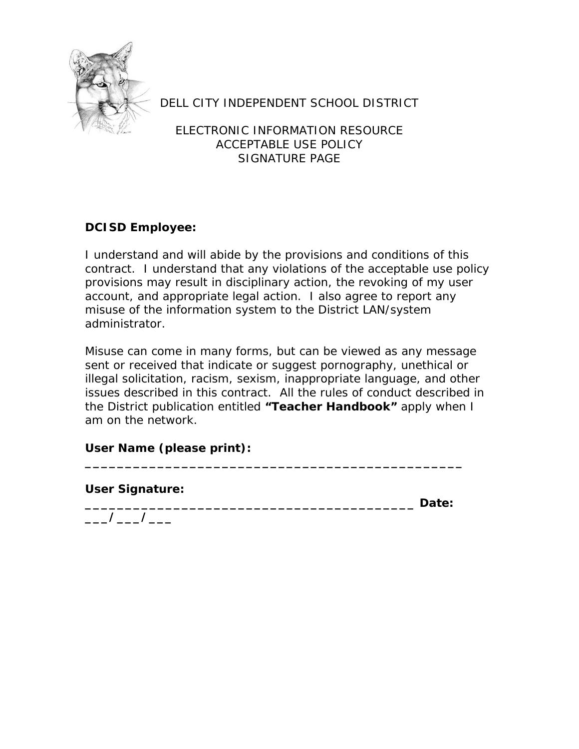

ELECTRONIC INFORMATION RESOURCE ACCEPTABLE USE POLICY SIGNATURE PAGE

### **DCISD Employee:**

I understand and will abide by the provisions and conditions of this contract. I understand that any violations of the acceptable use policy provisions may result in disciplinary action, the revoking of my user account, and appropriate legal action. I also agree to report any misuse of the information system to the District LAN/system administrator.

Misuse can come in many forms, but can be viewed as any message sent or received that indicate or suggest pornography, unethical or illegal solicitation, racism, sexism, inappropriate language, and other issues described in this contract. All the rules of conduct described in the District publication entitled **"Teacher Handbook"** apply when I am on the network.

**\_\_\_\_\_\_\_\_\_\_\_\_\_\_\_\_\_\_\_\_\_\_\_\_\_\_\_\_\_\_\_\_\_\_\_\_\_\_\_\_\_\_\_\_\_\_\_** 

### **User Name (please print):**

**User Signature:** 

**\_\_\_\_\_\_\_\_\_\_\_\_\_\_\_\_\_\_\_\_\_\_\_\_\_\_\_\_\_\_\_\_\_\_\_\_\_\_\_\_\_ Date: \_\_\_/\_\_\_/\_\_\_**